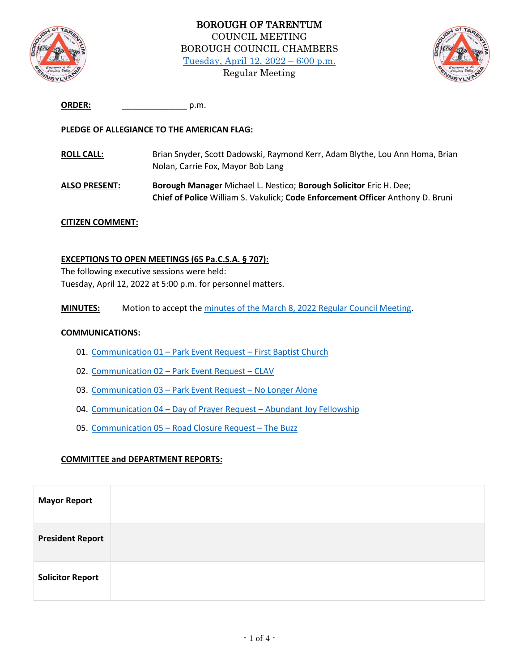



| <b>ORDER:</b> | .n.m |
|---------------|------|
|               |      |

### **PLEDGE OF ALLEGIANCE TO THE AMERICAN FLAG:**

- **ROLL CALL:** Brian Snyder, Scott Dadowski, Raymond Kerr, Adam Blythe, Lou Ann Homa, Brian Nolan, Carrie Fox, Mayor Bob Lang
- **ALSO PRESENT: Borough Manager** Michael L. Nestico; **Borough Solicitor** Eric H. Dee; **Chief of Police** William S. Vakulick; **Code Enforcement Officer** Anthony D. Bruni

#### **CITIZEN COMMENT:**

#### **EXCEPTIONS TO OPEN MEETINGS (65 Pa.C.S.A. § 707):**

The following executive sessions were held: Tuesday, April 12, 2022 at 5:00 p.m. for personnel matters.

**MINUTES:** Motion to accept the [minutes of the March 8, 2022 Regular Council Meeting.](http://tarentumboro.com/wp-content/uploads/2022/04/2022.03.08-Minutes.pdf)

#### **COMMUNICATIONS:**

- 01. Communication 01 [Park Event Request](http://tarentumboro.com/wp-content/uploads/2022/04/Communication-01-Park-Permit-Request-First-Baptist-Church.pdf)  First Baptist Church
- 02. Communication 02 [Park Event Request](http://tarentumboro.com/wp-content/uploads/2022/04/Communication-02-Park-Event-Request-CLAV.pdf)  CLAV
- 03. Communication 03 [Park Event Request](http://tarentumboro.com/wp-content/uploads/2022/04/Communication-03-Park-Event-Request-NA.pdf)  No Longer Alone
- 04. Communication 04 Day of Prayer Request [Abundant Joy Fellowship](http://tarentumboro.com/wp-content/uploads/2022/04/Communication-04-Day-of-Prayer-Reqeust-Abundant-Joy.pdf)
- 05. Communication 05 [Road Closure Request](http://tarentumboro.com/wp-content/uploads/2022/04/Communication-05-Road-Closure-Request-The-Buzz.pdf)  The Buzz

#### **COMMITTEE and DEPARTMENT REPORTS:**

| <b>Mayor Report</b>     |  |
|-------------------------|--|
| <b>President Report</b> |  |
| <b>Solicitor Report</b> |  |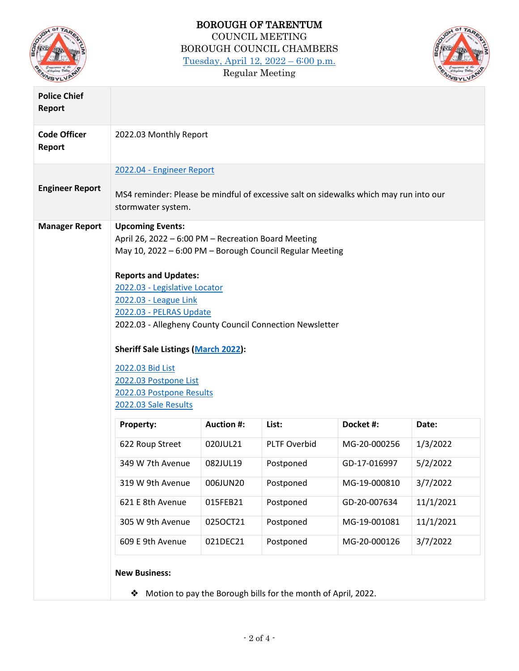

# BOROUGH OF TARENTUM COUNCIL MEETING BOROUGH COUNCIL CHAMBERS [Tuesday, April 12, 2022](http://tarentumboro.com/resources/meetings/2022-04-12-regular-council-meeting) – 6:00 p.m. Regular Meeting



| <b>Police Chief</b><br>Report |                                                                                                                                                                                                                                                                                                                                                                                                                                                                           |                        |                                                               |              |           |  |  |
|-------------------------------|---------------------------------------------------------------------------------------------------------------------------------------------------------------------------------------------------------------------------------------------------------------------------------------------------------------------------------------------------------------------------------------------------------------------------------------------------------------------------|------------------------|---------------------------------------------------------------|--------------|-----------|--|--|
| <b>Code Officer</b><br>Report |                                                                                                                                                                                                                                                                                                                                                                                                                                                                           | 2022.03 Monthly Report |                                                               |              |           |  |  |
|                               | 2022.04 - Engineer Report                                                                                                                                                                                                                                                                                                                                                                                                                                                 |                        |                                                               |              |           |  |  |
| <b>Engineer Report</b>        | MS4 reminder: Please be mindful of excessive salt on sidewalks which may run into our<br>stormwater system.                                                                                                                                                                                                                                                                                                                                                               |                        |                                                               |              |           |  |  |
| <b>Manager Report</b>         | <b>Upcoming Events:</b><br>April 26, 2022 - 6:00 PM - Recreation Board Meeting<br>May 10, 2022 - 6:00 PM - Borough Council Regular Meeting<br><b>Reports and Updates:</b><br>2022.03 - Legislative Locator<br>2022.03 - League Link<br>2022.03 - PELRAS Update<br>2022.03 - Allegheny County Council Connection Newsletter<br><b>Sheriff Sale Listings (March 2022):</b><br>2022.03 Bid List<br>2022.03 Postpone List<br>2022.03 Postpone Results<br>2022.03 Sale Results |                        |                                                               |              |           |  |  |
|                               | Property:                                                                                                                                                                                                                                                                                                                                                                                                                                                                 | <b>Auction #:</b>      | List:                                                         | Docket #:    | Date:     |  |  |
|                               | 622 Roup Street                                                                                                                                                                                                                                                                                                                                                                                                                                                           | 020JUL21               | <b>PLTF Overbid</b>                                           | MG-20-000256 | 1/3/2022  |  |  |
|                               | 349 W 7th Avenue                                                                                                                                                                                                                                                                                                                                                                                                                                                          | 082JUL19               | Postponed                                                     | GD-17-016997 | 5/2/2022  |  |  |
|                               | 319 W 9th Avenue                                                                                                                                                                                                                                                                                                                                                                                                                                                          | 006JUN20               | Postponed                                                     | MG-19-000810 | 3/7/2022  |  |  |
|                               | 621 E 8th Avenue                                                                                                                                                                                                                                                                                                                                                                                                                                                          | 015FEB21               | Postponed                                                     | GD-20-007634 | 11/1/2021 |  |  |
|                               | 305 W 9th Avenue                                                                                                                                                                                                                                                                                                                                                                                                                                                          | 025OCT21               | Postponed                                                     | MG-19-001081 | 11/1/2021 |  |  |
|                               | 609 E 9th Avenue                                                                                                                                                                                                                                                                                                                                                                                                                                                          | 021DEC21               | Postponed                                                     | MG-20-000126 | 3/7/2022  |  |  |
|                               | <b>New Business:</b><br>❖                                                                                                                                                                                                                                                                                                                                                                                                                                                 |                        | Motion to pay the Borough bills for the month of April, 2022. |              |           |  |  |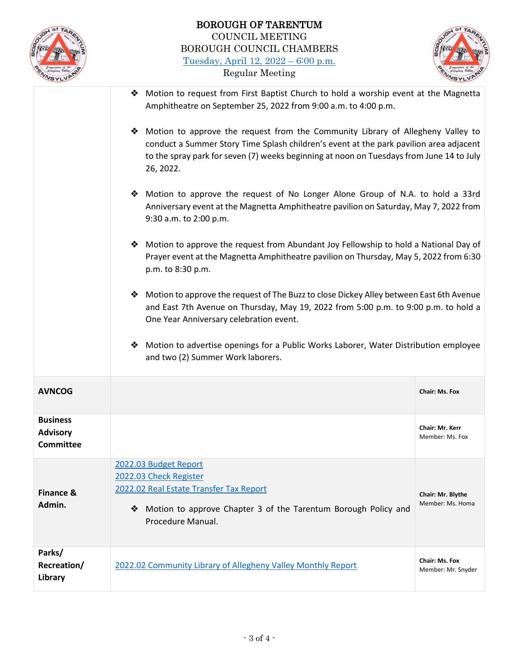



- ❖ Motion to request from First Baptist Church to hold a worship event at the Magnetta Amphitheatre on September 25, 2022 from 9:00 a.m. to 4:00 p.m. ❖ Motion to approve the request from the Community Library of Allegheny Valley to
	- conduct a Summer Story Time Splash children's event at the park pavilion area adjacent to the spray park for seven (7) weeks beginning at noon on Tuesdays from June 14 to July 26, 2022.
	- ❖ Motion to approve the request of No Longer Alone Group of N.A. to hold a 33rd Anniversary event at the Magnetta Amphitheatre pavilion on Saturday, May 7, 2022 from 9:30 a.m. to 2:00 p.m.
	- ❖ Motion to approve the request from Abundant Joy Fellowship to hold a National Day of Prayer event at the Magnetta Amphitheatre pavilion on Thursday, May 5, 2022 from 6:30 p.m. to 8:30 p.m.
	- ❖ Motion to approve the request of The Buzz to close Dickey Alley between East 6th Avenue and East 7th Avenue on Thursday, May 19, 2022 from 5:00 p.m. to 9:00 p.m. to hold a One Year Anniversary celebration event.
	- ❖ Motion to advertise openings for a Public Works Laborer, Water Distribution employee and two (2) Summer Work laborers.

| <b>AVNCOG</b>                                   |                                                                                                                                                                                        | Chair: Ms. Fox                              |
|-------------------------------------------------|----------------------------------------------------------------------------------------------------------------------------------------------------------------------------------------|---------------------------------------------|
| <b>Business</b><br><b>Advisory</b><br>Committee |                                                                                                                                                                                        | <b>Chair: Mr. Kerr</b><br>Member: Ms. Fox   |
| Finance &<br>Admin.                             | 2022.03 Budget Report<br>2022.03 Check Register<br>2022.02 Real Estate Transfer Tax Report<br>Motion to approve Chapter 3 of the Tarentum Borough Policy and<br>❖<br>Procedure Manual. | Chair: Mr. Blythe<br>Member: Ms. Homa       |
| Parks/<br>Recreation/<br>Library                | 2022.02 Community Library of Allegheny Valley Monthly Report                                                                                                                           | <b>Chair: Ms. Fox</b><br>Member: Mr. Snyder |